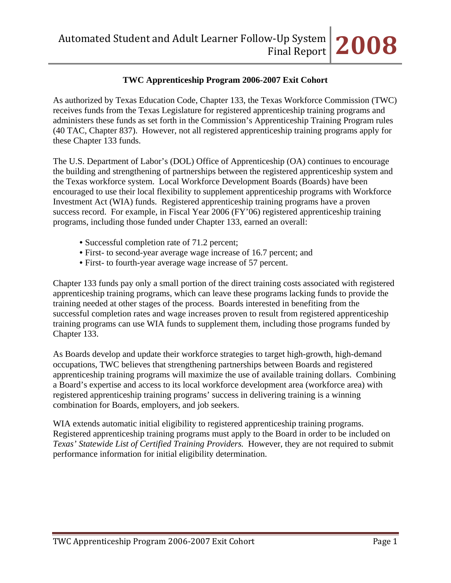### **TWC Apprenticeship Program 2006-2007 Exit Cohort**

As authorized by Texas Education Code, Chapter 133, the Texas Workforce Commission (TWC) receives funds from the Texas Legislature for registered apprenticeship training programs and administers these funds as set forth in the Commission's Apprenticeship Training Program rules (40 TAC, Chapter 837). However, not all registered apprenticeship training programs apply for these Chapter 133 funds.

The U.S. Department of Labor's (DOL) Office of Apprenticeship (OA) continues to encourage the building and strengthening of partnerships between the registered apprenticeship system and the Texas workforce system. Local Workforce Development Boards (Boards) have been encouraged to use their local flexibility to supplement apprenticeship programs with Workforce Investment Act (WIA) funds. Registered apprenticeship training programs have a proven success record. For example, in Fiscal Year 2006 (FY'06) registered apprenticeship training programs, including those funded under Chapter 133, earned an overall:

- Successful completion rate of 71.2 percent;
- First- to second-year average wage increase of 16.7 percent; and
- First- to fourth-year average wage increase of 57 percent.

Chapter 133 funds pay only a small portion of the direct training costs associated with registered apprenticeship training programs, which can leave these programs lacking funds to provide the training needed at other stages of the process. Boards interested in benefiting from the successful completion rates and wage increases proven to result from registered apprenticeship training programs can use WIA funds to supplement them, including those programs funded by Chapter 133.

As Boards develop and update their workforce strategies to target high-growth, high-demand occupations, TWC believes that strengthening partnerships between Boards and registered apprenticeship training programs will maximize the use of available training dollars. Combining a Board's expertise and access to its local workforce development area (workforce area) with registered apprenticeship training programs' success in delivering training is a winning combination for Boards, employers, and job seekers.

WIA extends automatic initial eligibility to registered apprenticeship training programs. Registered apprenticeship training programs must apply to the Board in order to be included on *Texas' Statewide List of Certified Training Providers.* However, they are not required to submit performance information for initial eligibility determination.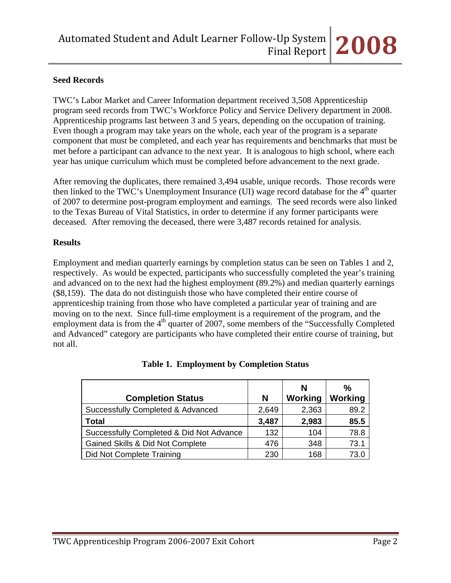### **Seed Records**

TWC's Labor Market and Career Information department received 3,508 Apprenticeship program seed records from TWC's Workforce Policy and Service Delivery department in 2008. Apprenticeship programs last between 3 and 5 years, depending on the occupation of training. Even though a program may take years on the whole, each year of the program is a separate component that must be completed, and each year has requirements and benchmarks that must be met before a participant can advance to the next year. It is analogous to high school, where each year has unique curriculum which must be completed before advancement to the next grade.

After removing the duplicates, there remained 3,494 usable, unique records. Those records were then linked to the TWC's Unemployment Insurance (UI) wage record database for the  $4<sup>th</sup>$  quarter of 2007 to determine post-program employment and earnings. The seed records were also linked to the Texas Bureau of Vital Statistics, in order to determine if any former participants were deceased. After removing the deceased, there were 3,487 records retained for analysis.

#### **Results**

Employment and median quarterly earnings by completion status can be seen on Tables 1 and 2, respectively. As would be expected, participants who successfully completed the year's training and advanced on to the next had the highest employment (89.2%) and median quarterly earnings (\$8,159). The data do not distinguish those who have completed their entire course of apprenticeship training from those who have completed a particular year of training and are moving on to the next. Since full-time employment is a requirement of the program, and the employment data is from the  $4<sup>th</sup>$  quarter of 2007, some members of the "Successfully Completed" and Advanced" category are participants who have completed their entire course of training, but not all.

|                                          |       | N       | $\%$    |
|------------------------------------------|-------|---------|---------|
| <b>Completion Status</b>                 | N     | Working | Working |
| Successfully Completed & Advanced        | 2,649 | 2,363   | 89.2    |
| <b>Total</b>                             | 3,487 | 2,983   | 85.5    |
| Successfully Completed & Did Not Advance | 132   | 104     | 78.8    |
| Gained Skills & Did Not Complete         | 476   | 348     | 73.1    |
| Did Not Complete Training                | 230   | 168     | 73.0    |

#### **Table 1. Employment by Completion Status**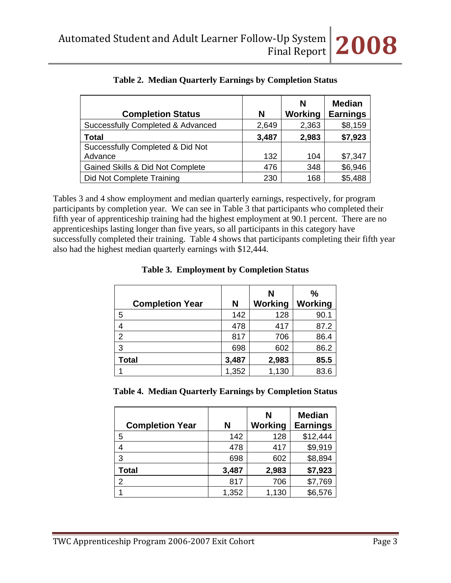| <b>Completion Status</b>          | N     | N<br>Working | <b>Median</b><br><b>Earnings</b> |
|-----------------------------------|-------|--------------|----------------------------------|
| Successfully Completed & Advanced | 2,649 | 2,363        | \$8,159                          |
| <b>Total</b>                      | 3,487 | 2,983        | \$7,923                          |
| Successfully Completed & Did Not  |       |              |                                  |
| Advance                           | 132   | 104          | \$7,347                          |
| Gained Skills & Did Not Complete  | 476   | 348          | \$6,946                          |
| Did Not Complete Training         | 230   | 168          | \$5,488                          |

|  |  |  |  | Table 2. Median Quarterly Earnings by Completion Status |  |
|--|--|--|--|---------------------------------------------------------|--|
|--|--|--|--|---------------------------------------------------------|--|

Tables 3 and 4 show employment and median quarterly earnings, respectively, for program participants by completion year. We can see in Table 3 that participants who completed their fifth year of apprenticeship training had the highest employment at 90.1 percent. There are no apprenticeships lasting longer than five years, so all participants in this category have successfully completed their training. Table 4 shows that participants completing their fifth year also had the highest median quarterly earnings with \$12,444.

| <b>Completion Year</b> | N     | N<br>Working | $\frac{0}{0}$<br>Working |
|------------------------|-------|--------------|--------------------------|
| 5                      | 142   | 128          | 90.1                     |
| 4                      | 478   | 417          | 87.2                     |
| $\overline{2}$         | 817   | 706          | 86.4                     |
| 3                      | 698   | 602          | 86.2                     |
| <b>Total</b>           | 3,487 | 2,983        | 85.5                     |
|                        | 1,352 | 1,130        | 83.6                     |

### **Table 3. Employment by Completion Status**

**Table 4. Median Quarterly Earnings by Completion Status**

| <b>Completion Year</b> | N     | N<br><b>Working</b> | <b>Median</b><br><b>Earnings</b> |
|------------------------|-------|---------------------|----------------------------------|
| 5                      | 142   | 128                 | \$12,444                         |
|                        | 478   | 417                 | \$9,919                          |
| 3                      | 698   | 602                 | \$8,894                          |
| <b>Total</b>           | 3,487 | 2,983               | \$7,923                          |
| 2                      | 817   | 706                 | \$7,769                          |
|                        | 1,352 | 1,130               | \$6,576                          |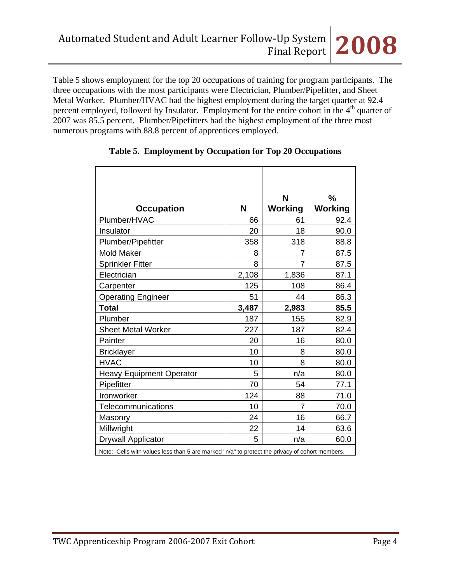Table 5 shows employment for the top 20 occupations of training for program participants. The three occupations with the most participants were Electrician, Plumber/Pipefitter, and Sheet Metal Worker. Plumber/HVAC had the highest employment during the target quarter at 92.4 percent employed, followed by Insulator. Employment for the entire cohort in the  $4<sup>th</sup>$  quarter of 2007 was 85.5 percent. Plumber/Pipefitters had the highest employment of the three most numerous programs with 88.8 percent of apprentices employed.

| <b>Occupation</b>               | N     | N<br><b>Working</b> | $\frac{9}{6}$<br><b>Working</b> |
|---------------------------------|-------|---------------------|---------------------------------|
| Plumber/HVAC                    | 66    | 61                  | 92.4                            |
| Insulator                       | 20    | 18                  | 90.0                            |
| Plumber/Pipefitter              | 358   | 318                 | 88.8                            |
| <b>Mold Maker</b>               | 8     | 7                   | 87.5                            |
| <b>Sprinkler Fitter</b>         | 8     | 7                   | 87.5                            |
| Electrician                     | 2,108 | 1,836               | 87.1                            |
| Carpenter                       | 125   | 108                 | 86.4                            |
| <b>Operating Engineer</b>       | 51    | 44                  | 86.3                            |
| <b>Total</b>                    | 3,487 | 2,983               | 85.5                            |
| Plumber                         | 187   | 155                 | 82.9                            |
| <b>Sheet Metal Worker</b>       | 227   | 187                 | 82.4                            |
| Painter                         | 20    | 16                  | 80.0                            |
| <b>Bricklayer</b>               | 10    | 8                   | 80.0                            |
| <b>HVAC</b>                     | 10    | 8                   | 80.0                            |
| <b>Heavy Equipment Operator</b> | 5     | n/a                 | 80.0                            |
| Pipefitter                      | 70    | 54                  | 77.1                            |
| Ironworker                      | 124   | 88                  | 71.0                            |
| Telecommunications              | 10    | 7                   | 70.0                            |
| Masonry                         | 24    | 16                  | 66.7                            |
| Millwright                      | 22    | 14                  | 63.6                            |
| <b>Drywall Applicator</b>       | 5     | n/a                 | 60.0                            |

### **Table 5. Employment by Occupation for Top 20 Occupations**

Note: Cells with values less than 5 are marked "n/a" to protect the privacy of cohort members.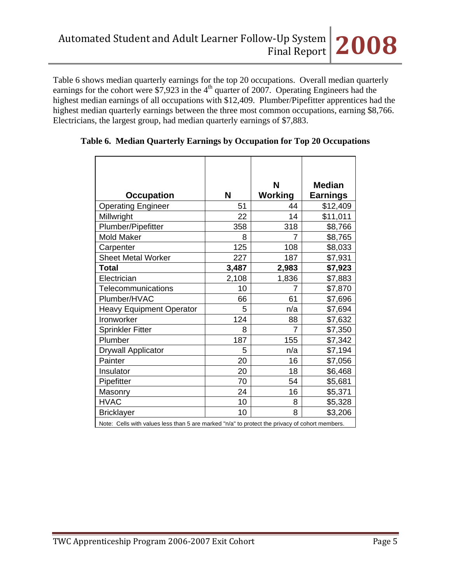Table 6 shows median quarterly earnings for the top 20 occupations. Overall median quarterly earnings for the cohort were \$7,923 in the  $4<sup>th</sup>$  quarter of 2007. Operating Engineers had the highest median earnings of all occupations with \$12,409. Plumber/Pipefitter apprentices had the highest median quarterly earnings between the three most common occupations, earning \$8,766. Electricians, the largest group, had median quarterly earnings of \$7,883.

|                                                                                                |       | N              | <b>Median</b>   |
|------------------------------------------------------------------------------------------------|-------|----------------|-----------------|
| <b>Occupation</b>                                                                              | N     | <b>Working</b> | <b>Earnings</b> |
| <b>Operating Engineer</b>                                                                      | 51    | 44             | \$12,409        |
| Millwright                                                                                     | 22    | 14             | \$11,011        |
| Plumber/Pipefitter                                                                             | 358   | 318            | \$8,766         |
| <b>Mold Maker</b>                                                                              | 8     | 7              | \$8,765         |
| Carpenter                                                                                      | 125   | 108            | \$8,033         |
| <b>Sheet Metal Worker</b>                                                                      | 227   | 187            | \$7,931         |
| Total                                                                                          | 3,487 | 2,983          | \$7,923         |
| Electrician                                                                                    | 2,108 | 1,836          | \$7,883         |
| Telecommunications                                                                             | 10    | 7              | \$7,870         |
| Plumber/HVAC                                                                                   | 66    | 61             | \$7,696         |
| <b>Heavy Equipment Operator</b>                                                                | 5     | n/a            | \$7,694         |
| Ironworker                                                                                     | 124   | 88             | \$7,632         |
| <b>Sprinkler Fitter</b>                                                                        | 8     | 7              | \$7,350         |
| Plumber                                                                                        | 187   | 155            | \$7,342         |
| <b>Drywall Applicator</b>                                                                      | 5     | n/a            | \$7,194         |
| Painter                                                                                        | 20    | 16             | \$7,056         |
| Insulator                                                                                      | 20    | 18             | \$6,468         |
| Pipefitter                                                                                     | 70    | 54             | \$5,681         |
| Masonry                                                                                        | 24    | 16             | \$5,371         |
| <b>HVAC</b>                                                                                    | 10    | 8              | \$5,328         |
| <b>Bricklayer</b>                                                                              | 10    | 8              | \$3,206         |
| Note: Cells with values less than 5 are marked "n/a" to protect the privacy of cohort members. |       |                |                 |

### **Table 6. Median Quarterly Earnings by Occupation for Top 20 Occupations**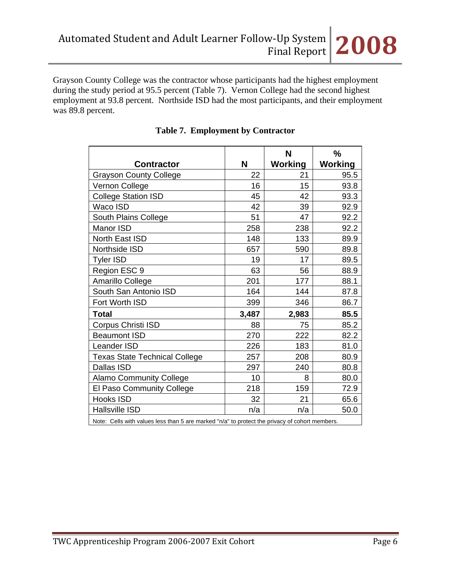Grayson County College was the contractor whose participants had the highest employment during the study period at 95.5 percent (Table 7). Vernon College had the second highest employment at 93.8 percent. Northside ISD had the most participants, and their employment was 89.8 percent.

|                                                                                                |       | N              | %              |
|------------------------------------------------------------------------------------------------|-------|----------------|----------------|
| <b>Contractor</b>                                                                              | N     | <b>Working</b> | <b>Working</b> |
| <b>Grayson County College</b>                                                                  | 22    | 21             | 95.5           |
| Vernon College                                                                                 | 16    | 15             | 93.8           |
| <b>College Station ISD</b>                                                                     | 45    | 42             | 93.3           |
| Waco ISD                                                                                       | 42    | 39             | 92.9           |
| South Plains College                                                                           | 51    | 47             | 92.2           |
| Manor ISD                                                                                      | 258   | 238            | 92.2           |
| North East ISD                                                                                 | 148   | 133            | 89.9           |
| Northside ISD                                                                                  | 657   | 590            | 89.8           |
| <b>Tyler ISD</b>                                                                               | 19    | 17             | 89.5           |
| Region ESC 9                                                                                   | 63    | 56             | 88.9           |
| Amarillo College                                                                               | 201   | 177            | 88.1           |
| South San Antonio ISD                                                                          | 164   | 144            | 87.8           |
| Fort Worth ISD                                                                                 | 399   | 346            | 86.7           |
| <b>Total</b>                                                                                   | 3,487 | 2,983          | 85.5           |
| Corpus Christi ISD                                                                             | 88    | 75             | 85.2           |
| <b>Beaumont ISD</b>                                                                            | 270   | 222            | 82.2           |
| Leander ISD                                                                                    | 226   | 183            | 81.0           |
| <b>Texas State Technical College</b>                                                           | 257   | 208            | 80.9           |
| Dallas ISD                                                                                     | 297   | 240            | 80.8           |
| <b>Alamo Community College</b>                                                                 | 10    | 8              | 80.0           |
| El Paso Community College                                                                      | 218   | 159            | 72.9           |
| Hooks ISD                                                                                      | 32    | 21             | 65.6           |
| <b>Hallsville ISD</b>                                                                          | n/a   | n/a            | 50.0           |
| Note: Cells with values less than 5 are marked "n/a" to protect the privacy of cohort members. |       |                |                |

## **Table 7. Employment by Contractor**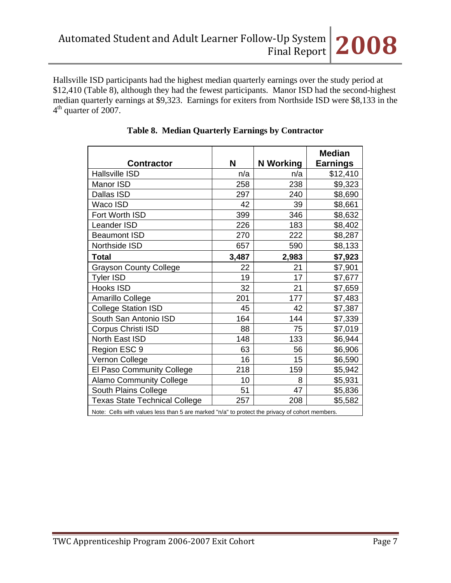Hallsville ISD participants had the highest median quarterly earnings over the study period at \$12,410 (Table 8), although they had the fewest participants. Manor ISD had the second-highest median quarterly earnings at \$9,323. Earnings for exiters from Northside ISD were \$8,133 in the  $4<sup>th</sup>$  quarter of 2007.

|                                                                                                |       |                  | <b>Median</b>   |  |  |
|------------------------------------------------------------------------------------------------|-------|------------------|-----------------|--|--|
| <b>Contractor</b>                                                                              | N     | <b>N</b> Working | <b>Earnings</b> |  |  |
| <b>Hallsville ISD</b>                                                                          | n/a   | n/a              | \$12,410        |  |  |
| Manor ISD                                                                                      | 258   | 238              | \$9,323         |  |  |
| Dallas ISD                                                                                     | 297   | 240              | \$8,690         |  |  |
| Waco ISD                                                                                       | 42    | 39               | \$8,661         |  |  |
| Fort Worth ISD                                                                                 | 399   | 346              | \$8,632         |  |  |
| <b>Leander ISD</b>                                                                             | 226   | 183              | \$8,402         |  |  |
| <b>Beaumont ISD</b>                                                                            | 270   | 222              | \$8,287         |  |  |
| Northside ISD                                                                                  | 657   | 590              | \$8,133         |  |  |
| <b>Total</b>                                                                                   | 3,487 | 2,983            | \$7,923         |  |  |
| <b>Grayson County College</b>                                                                  | 22    | 21               | \$7,901         |  |  |
| <b>Tyler ISD</b>                                                                               | 19    | 17               | \$7,677         |  |  |
| Hooks ISD                                                                                      | 32    | 21               | \$7,659         |  |  |
| Amarillo College                                                                               | 201   | 177              | \$7,483         |  |  |
| <b>College Station ISD</b>                                                                     | 45    | 42               | \$7,387         |  |  |
| South San Antonio ISD                                                                          | 164   | 144              | \$7,339         |  |  |
| Corpus Christi ISD                                                                             | 88    | 75               | \$7,019         |  |  |
| North East ISD                                                                                 | 148   | 133              | \$6,944         |  |  |
| Region ESC 9                                                                                   | 63    | 56               | \$6,906         |  |  |
| Vernon College                                                                                 | 16    | 15               | \$6,590         |  |  |
| El Paso Community College                                                                      | 218   | 159              | \$5,942         |  |  |
| <b>Alamo Community College</b>                                                                 | 10    | 8                | \$5,931         |  |  |
| South Plains College                                                                           | 51    | 47               | \$5,836         |  |  |
| <b>Texas State Technical College</b>                                                           | 257   | 208              | \$5,582         |  |  |
| Note: Cells with values less than 5 are marked "n/a" to protect the privacy of cohort members. |       |                  |                 |  |  |

### **Table 8. Median Quarterly Earnings by Contractor**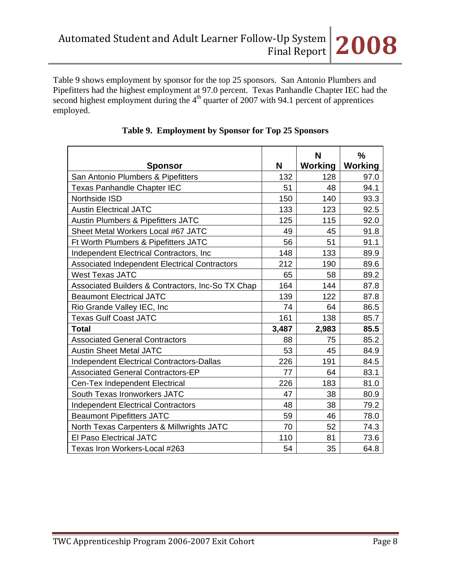| <b>Sponsor</b>                                    | N     | N<br>Working | $\frac{0}{0}$<br><b>Working</b> |
|---------------------------------------------------|-------|--------------|---------------------------------|
| San Antonio Plumbers & Pipefitters                | 132   | 128          | 97.0                            |
| <b>Texas Panhandle Chapter IEC</b>                | 51    | 48           | 94.1                            |
| Northside ISD                                     | 150   | 140          | 93.3                            |
| <b>Austin Electrical JATC</b>                     | 133   | 123          | 92.5                            |
| Austin Plumbers & Pipefitters JATC                | 125   | 115          | 92.0                            |
| Sheet Metal Workers Local #67 JATC                | 49    | 45           | 91.8                            |
| Ft Worth Plumbers & Pipefitters JATC              | 56    | 51           | 91.1                            |
| Independent Electrical Contractors, Inc.          | 148   | 133          | 89.9                            |
| Associated Independent Electrical Contractors     | 212   | 190          | 89.6                            |
| <b>West Texas JATC</b>                            | 65    | 58           | 89.2                            |
| Associated Builders & Contractors, Inc-So TX Chap | 164   | 144          | 87.8                            |
| <b>Beaumont Electrical JATC</b>                   | 139   | 122          | 87.8                            |
| Rio Grande Valley IEC, Inc                        | 74    | 64           | 86.5                            |
| <b>Texas Gulf Coast JATC</b>                      | 161   | 138          | 85.7                            |
| <b>Total</b>                                      | 3,487 | 2,983        | 85.5                            |
| <b>Associated General Contractors</b>             | 88    | 75           | 85.2                            |
| <b>Austin Sheet Metal JATC</b>                    | 53    | 45           | 84.9                            |
| <b>Independent Electrical Contractors-Dallas</b>  | 226   | 191          | 84.5                            |
| <b>Associated General Contractors-EP</b>          | 77    | 64           | 83.1                            |
| Cen-Tex Independent Electrical                    | 226   | 183          | 81.0                            |
| South Texas Ironworkers JATC                      | 47    | 38           | 80.9                            |
| <b>Independent Electrical Contractors</b>         | 48    | 38           | 79.2                            |
| <b>Beaumont Pipefitters JATC</b>                  | 59    | 46           | 78.0                            |
| North Texas Carpenters & Millwrights JATC         | 70    | 52           | 74.3                            |
| El Paso Electrical JATC                           | 110   | 81           | 73.6                            |
| Texas Iron Workers-Local #263                     | 54    | 35           | 64.8                            |

## **Table 9. Employment by Sponsor for Top 25 Sponsors**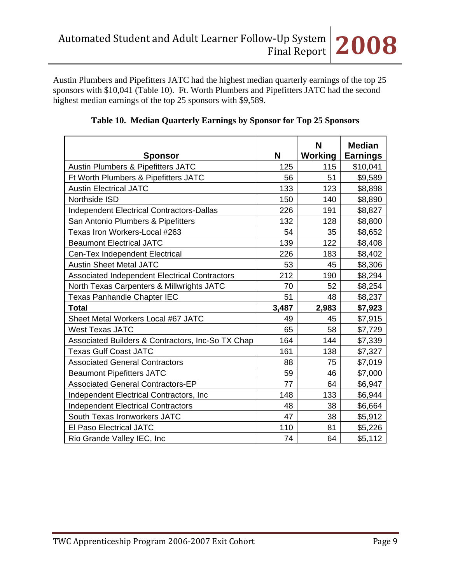Austin Plumbers and Pipefitters JATC had the highest median quarterly earnings of the top 25 sponsors with \$10,041 (Table 10). Ft. Worth Plumbers and Pipefitters JATC had the second highest median earnings of the top 25 sponsors with \$9,589.

| <b>Sponsor</b>                                       | N     | N<br><b>Working</b> | <b>Median</b><br><b>Earnings</b> |
|------------------------------------------------------|-------|---------------------|----------------------------------|
| <b>Austin Plumbers &amp; Pipefitters JATC</b>        | 125   | 115                 | \$10,041                         |
| Ft Worth Plumbers & Pipefitters JATC                 | 56    | 51                  | \$9,589                          |
| <b>Austin Electrical JATC</b>                        | 133   | 123                 | \$8,898                          |
| Northside ISD                                        | 150   | 140                 | \$8,890                          |
| <b>Independent Electrical Contractors-Dallas</b>     | 226   | 191                 | \$8,827                          |
| San Antonio Plumbers & Pipefitters                   | 132   | 128                 | \$8,800                          |
| Texas Iron Workers-Local #263                        | 54    | 35                  | \$8,652                          |
| <b>Beaumont Electrical JATC</b>                      | 139   | 122                 | \$8,408                          |
| Cen-Tex Independent Electrical                       | 226   | 183                 | \$8,402                          |
| <b>Austin Sheet Metal JATC</b>                       | 53    | 45                  | \$8,306                          |
| <b>Associated Independent Electrical Contractors</b> | 212   | 190                 | \$8,294                          |
| North Texas Carpenters & Millwrights JATC            | 70    | 52                  | \$8,254                          |
| <b>Texas Panhandle Chapter IEC</b>                   | 51    | 48                  | \$8,237                          |
| <b>Total</b>                                         | 3,487 | 2,983               | \$7,923                          |
| Sheet Metal Workers Local #67 JATC                   | 49    | 45                  | \$7,915                          |
| <b>West Texas JATC</b>                               | 65    | 58                  | \$7,729                          |
| Associated Builders & Contractors, Inc-So TX Chap    | 164   | 144                 | \$7,339                          |
| <b>Texas Gulf Coast JATC</b>                         | 161   | 138                 | \$7,327                          |
| <b>Associated General Contractors</b>                | 88    | 75                  | \$7,019                          |
| <b>Beaumont Pipefitters JATC</b>                     | 59    | 46                  | \$7,000                          |
| <b>Associated General Contractors-EP</b>             | 77    | 64                  | \$6,947                          |
| Independent Electrical Contractors, Inc.             | 148   | 133                 | \$6,944                          |
| <b>Independent Electrical Contractors</b>            | 48    | 38                  | \$6,664                          |
| South Texas Ironworkers JATC                         | 47    | 38                  | \$5,912                          |
| <b>El Paso Electrical JATC</b>                       | 110   | 81                  | \$5,226                          |
| Rio Grande Valley IEC, Inc.                          | 74    | 64                  | \$5,112                          |

|  |  |  |  |  |  | Table 10. Median Quarterly Earnings by Sponsor for Top 25 Sponsors |
|--|--|--|--|--|--|--------------------------------------------------------------------|
|--|--|--|--|--|--|--------------------------------------------------------------------|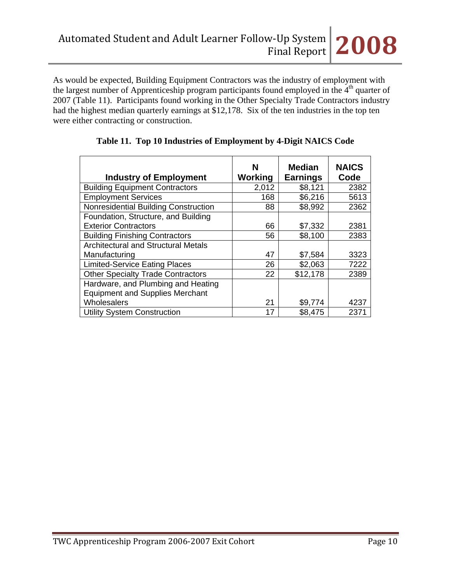As would be expected, Building Equipment Contractors was the industry of employment with the largest number of Apprenticeship program participants found employed in the 4<sup>th</sup> quarter of 2007 (Table 11). Participants found working in the Other Specialty Trade Contractors industry had the highest median quarterly earnings at \$12,178. Six of the ten industries in the top ten were either contracting or construction.

| <b>Industry of Employment</b>              | N<br>Working | <b>Median</b><br><b>Earnings</b> | <b>NAICS</b><br>Code |
|--------------------------------------------|--------------|----------------------------------|----------------------|
| <b>Building Equipment Contractors</b>      | 2,012        | \$8,121                          | 2382                 |
| <b>Employment Services</b>                 | 168          | \$6,216                          | 5613                 |
| Nonresidential Building Construction       | 88           | \$8,992                          | 2362                 |
| Foundation, Structure, and Building        |              |                                  |                      |
| <b>Exterior Contractors</b>                | 66           | \$7,332                          | 2381                 |
| <b>Building Finishing Contractors</b>      | 56           | \$8,100                          | 2383                 |
| <b>Architectural and Structural Metals</b> |              |                                  |                      |
| Manufacturing                              | 47           | \$7,584                          | 3323                 |
| <b>Limited-Service Eating Places</b>       | 26           | \$2,063                          | 7222                 |
| <b>Other Specialty Trade Contractors</b>   | 22           | \$12,178                         | 2389                 |
| Hardware, and Plumbing and Heating         |              |                                  |                      |
| <b>Equipment and Supplies Merchant</b>     |              |                                  |                      |
| Wholesalers                                | 21           | \$9,774                          | 4237                 |
| <b>Utility System Construction</b>         | 17           | \$8,475                          | 2371                 |

|  |  |  |  | Table 11. Top 10 Industries of Employment by 4-Digit NAICS Code |  |
|--|--|--|--|-----------------------------------------------------------------|--|
|--|--|--|--|-----------------------------------------------------------------|--|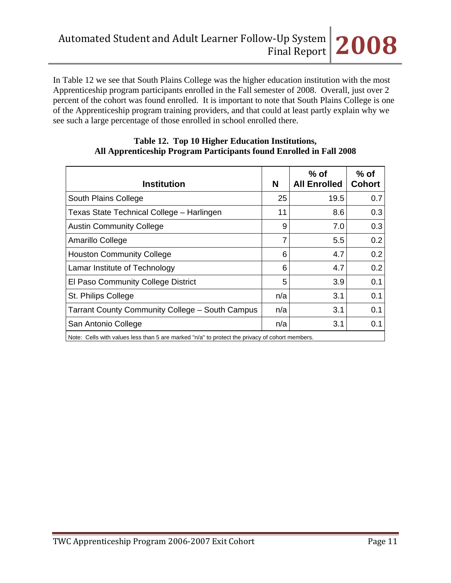In Table 12 we see that South Plains College was the higher education institution with the most Apprenticeship program participants enrolled in the Fall semester of 2008. Overall, just over 2 percent of the cohort was found enrolled. It is important to note that South Plains College is one of the Apprenticeship program training providers, and that could at least partly explain why we see such a large percentage of those enrolled in school enrolled there.

| <b>Institution</b>                                                                                               | N   | $%$ of<br><b>All Enrolled</b> | $%$ of<br><b>Cohort</b> |
|------------------------------------------------------------------------------------------------------------------|-----|-------------------------------|-------------------------|
| South Plains College                                                                                             | 25  | 19.5                          | 0.7                     |
| Texas State Technical College - Harlingen                                                                        | 11  | 8.6                           | 0.3                     |
| <b>Austin Community College</b>                                                                                  | 9   | 7.0                           | 0.3                     |
| Amarillo College                                                                                                 |     | 5.5                           | 0.2                     |
| <b>Houston Community College</b>                                                                                 | 6   | 4.7                           | 0.2                     |
| Lamar Institute of Technology                                                                                    | 6   | 4.7                           | 0.2                     |
| El Paso Community College District                                                                               | 5   | 3.9                           | 0.1                     |
| St. Philips College                                                                                              | n/a | 3.1                           | 0.1                     |
| <b>Tarrant County Community College - South Campus</b>                                                           | n/a | 3.1                           | 0.1                     |
| San Antonio College                                                                                              | n/a | 3.1                           | 0.1                     |
| Matar Caller with realized for a those Francisco and the fall to masteret the multiples of a shout means because |     |                               |                         |

### **Table 12. Top 10 Higher Education Institutions, All Apprenticeship Program Participants found Enrolled in Fall 2008**

Note: Cells with values less than 5 are marked "n/a" to protect the privacy of cohort members.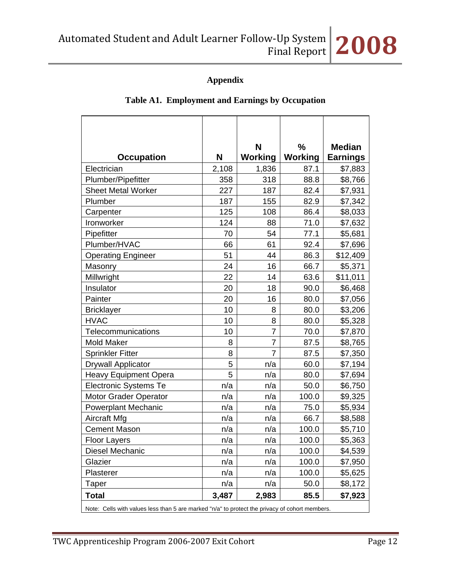# **Appendix**

|                                                                                                |       | N<br>$\%$      |                | <b>Median</b>   |  |  |
|------------------------------------------------------------------------------------------------|-------|----------------|----------------|-----------------|--|--|
| <b>Occupation</b>                                                                              | N     | Working        | <b>Working</b> | <b>Earnings</b> |  |  |
| Electrician                                                                                    | 2,108 | 1,836          | 87.1           | \$7,883         |  |  |
| Plumber/Pipefitter                                                                             | 358   | 318            | 88.8           | \$8,766         |  |  |
| <b>Sheet Metal Worker</b>                                                                      | 227   | 187            | 82.4           | \$7,931         |  |  |
| Plumber                                                                                        | 187   | 155            | 82.9           | \$7,342         |  |  |
| Carpenter                                                                                      | 125   | 108            | 86.4           | \$8,033         |  |  |
| Ironworker                                                                                     | 124   | 88             | 71.0           | \$7,632         |  |  |
| Pipefitter                                                                                     | 70    | 54             | 77.1           | \$5,681         |  |  |
| Plumber/HVAC                                                                                   | 66    | 61             | 92.4           | \$7,696         |  |  |
| <b>Operating Engineer</b>                                                                      | 51    | 44             | 86.3           | \$12,409        |  |  |
| Masonry                                                                                        | 24    | 16             | 66.7           | \$5,371         |  |  |
| Millwright                                                                                     | 22    | 14             | 63.6           | \$11,011        |  |  |
| Insulator                                                                                      | 20    | 18             | 90.0           | \$6,468         |  |  |
| Painter                                                                                        | 20    | 16             | 80.0           | \$7,056         |  |  |
| <b>Bricklayer</b>                                                                              | 10    | 8              | 80.0           | \$3,206         |  |  |
| <b>HVAC</b>                                                                                    | 10    | 8              | 80.0           | \$5,328         |  |  |
| Telecommunications                                                                             | 10    | $\overline{7}$ | 70.0           | \$7,870         |  |  |
| <b>Mold Maker</b>                                                                              | 8     | 7              | 87.5           | \$8,765         |  |  |
| <b>Sprinkler Fitter</b>                                                                        | 8     | $\overline{7}$ | 87.5           | \$7,350         |  |  |
| <b>Drywall Applicator</b>                                                                      | 5     | n/a            | 60.0           | \$7,194         |  |  |
| <b>Heavy Equipment Opera</b>                                                                   | 5     | n/a            | 80.0           | \$7,694         |  |  |
| <b>Electronic Systems Te</b>                                                                   | n/a   | n/a            | 50.0           | \$6,750         |  |  |
| <b>Motor Grader Operator</b>                                                                   | n/a   | n/a            | 100.0          | \$9,325         |  |  |
| <b>Powerplant Mechanic</b>                                                                     | n/a   | n/a            | 75.0           | \$5,934         |  |  |
| Aircraft Mfg                                                                                   | n/a   | n/a            | 66.7           | \$8,588         |  |  |
| <b>Cement Mason</b>                                                                            | n/a   | n/a            | 100.0          | \$5,710         |  |  |
| <b>Floor Layers</b>                                                                            | n/a   | n/a            | 100.0          | \$5,363         |  |  |
| Diesel Mechanic                                                                                | n/a   | n/a            | 100.0          | \$4,539         |  |  |
| Glazier                                                                                        | n/a   | n/a            | 100.0          | \$7,950         |  |  |
| Plasterer                                                                                      | n/a   | n/a            | 100.0          | \$5,625         |  |  |
| Taper                                                                                          | n/a   | n/a            | 50.0           | \$8,172         |  |  |
| <b>Total</b>                                                                                   | 3,487 | 2,983          | 85.5           | \$7,923         |  |  |
| Note: Cells with values less than 5 are marked "n/a" to protect the privacy of cohort members. |       |                |                |                 |  |  |

### **Table A1. Employment and Earnings by Occupation**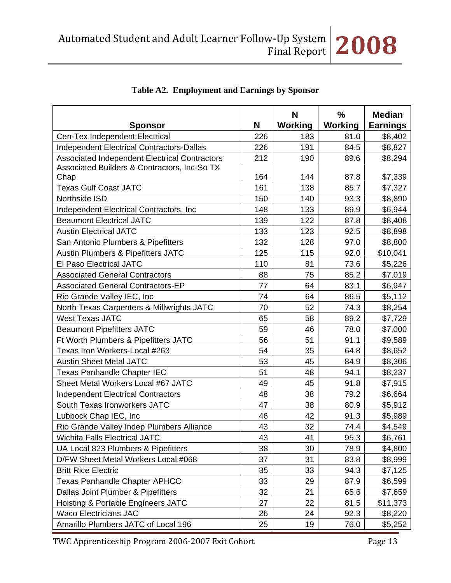| <b>Sponsor</b>                                   | N   | N<br>Working | $\frac{9}{6}$<br>Working | <b>Median</b><br><b>Earnings</b> |
|--------------------------------------------------|-----|--------------|--------------------------|----------------------------------|
| Cen-Tex Independent Electrical                   | 226 | 183          | 81.0                     | \$8,402                          |
| <b>Independent Electrical Contractors-Dallas</b> | 226 | 191          | 84.5                     | \$8,827                          |
| Associated Independent Electrical Contractors    | 212 | 190          | 89.6                     | \$8,294                          |
| Associated Builders & Contractors, Inc-So TX     |     |              |                          |                                  |
| Chap                                             | 164 | 144          | 87.8                     | \$7,339                          |
| <b>Texas Gulf Coast JATC</b>                     | 161 | 138          | 85.7                     | \$7,327                          |
| Northside ISD                                    | 150 | 140          | 93.3                     | \$8,890                          |
| Independent Electrical Contractors, Inc.         | 148 | 133          | 89.9                     | \$6,944                          |
| <b>Beaumont Electrical JATC</b>                  | 139 | 122          | 87.8                     | \$8,408                          |
| <b>Austin Electrical JATC</b>                    | 133 | 123          | 92.5                     | \$8,898                          |
| San Antonio Plumbers & Pipefitters               | 132 | 128          | 97.0                     | \$8,800                          |
| <b>Austin Plumbers &amp; Pipefitters JATC</b>    | 125 | 115          | 92.0                     | \$10,041                         |
| <b>El Paso Electrical JATC</b>                   | 110 | 81           | 73.6                     | \$5,226                          |
| <b>Associated General Contractors</b>            | 88  | 75           | 85.2                     | \$7,019                          |
| <b>Associated General Contractors-EP</b>         | 77  | 64           | 83.1                     | \$6,947                          |
| Rio Grande Valley IEC, Inc                       | 74  | 64           | 86.5                     | \$5,112                          |
| North Texas Carpenters & Millwrights JATC        | 70  | 52           | 74.3                     | \$8,254                          |
| <b>West Texas JATC</b>                           | 65  | 58           | 89.2                     | \$7,729                          |
| <b>Beaumont Pipefitters JATC</b>                 | 59  | 46           | 78.0                     | \$7,000                          |
| Ft Worth Plumbers & Pipefitters JATC             | 56  | 51           | 91.1                     | \$9,589                          |
| Texas Iron Workers-Local #263                    | 54  | 35           | 64.8                     | \$8,652                          |
| <b>Austin Sheet Metal JATC</b>                   | 53  | 45           | 84.9                     | \$8,306                          |
| Texas Panhandle Chapter IEC                      | 51  | 48           | 94.1                     | \$8,237                          |
| Sheet Metal Workers Local #67 JATC               | 49  | 45           | 91.8                     | \$7,915                          |
| <b>Independent Electrical Contractors</b>        | 48  | 38           | 79.2                     | \$6,664                          |
| South Texas Ironworkers JATC                     | 47  | 38           | 80.9                     | \$5,912                          |
| Lubbock Chap IEC, Inc                            | 46  | 42           | 91.3                     | \$5,989                          |
| Rio Grande Valley Indep Plumbers Alliance        | 43  | 32           | 74.4                     | \$4,549                          |
| <b>Wichita Falls Electrical JATC</b>             | 43  | 41           | 95.3                     | \$6,761                          |
| UA Local 823 Plumbers & Pipefitters              | 38  | 30           | 78.9                     | \$4,800                          |
| D/FW Sheet Metal Workers Local #068              | 37  | 31           | 83.8                     | \$8,999                          |
| <b>Britt Rice Electric</b>                       | 35  | 33           | 94.3                     | \$7,125                          |
| <b>Texas Panhandle Chapter APHCC</b>             | 33  | 29           | 87.9                     | \$6,599                          |
| Dallas Joint Plumber & Pipefitters               | 32  | 21           | 65.6                     | \$7,659                          |
| Hoisting & Portable Engineers JATC               | 27  | 22           | 81.5                     | \$11,373                         |
| <b>Waco Electricians JAC</b>                     | 26  | 24           | 92.3                     | \$8,220                          |
| Amarillo Plumbers JATC of Local 196              | 25  | 19           | 76.0                     | \$5,252                          |

# **Table A2. Employment and Earnings by Sponsor**

TWC Apprenticeship Program 2006-2007 Exit Cohort Page 13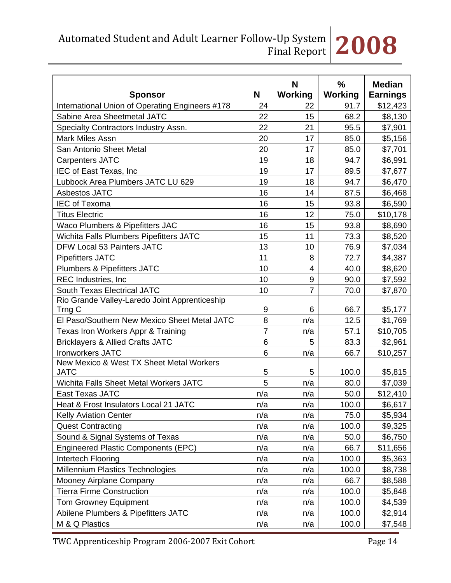Automated Student and Adult Learner Follow‐Up System Final Report **2008**

| <b>Sponsor</b>                                          | N              | N<br><b>Working</b> | %<br><b>Working</b> | <b>Median</b><br><b>Earnings</b> |
|---------------------------------------------------------|----------------|---------------------|---------------------|----------------------------------|
| International Union of Operating Engineers #178         | 24             | 22                  | 91.7                | \$12,423                         |
| Sabine Area Sheetmetal JATC                             | 22             | 15                  | 68.2                | \$8,130                          |
| Specialty Contractors Industry Assn.                    | 22             | 21                  | 95.5                | \$7,901                          |
| <b>Mark Miles Assn</b>                                  | 20             | 17                  | 85.0                | \$5,156                          |
| San Antonio Sheet Metal                                 | 20             | 17                  | 85.0                | \$7,701                          |
| <b>Carpenters JATC</b>                                  | 19             | 18                  | 94.7                | \$6,991                          |
| IEC of East Texas, Inc                                  | 19             | 17                  | 89.5                | \$7,677                          |
| Lubbock Area Plumbers JATC LU 629                       | 19             | 18                  | 94.7                | \$6,470                          |
| Asbestos JATC                                           | 16             | 14                  | 87.5                | \$6,468                          |
| <b>IEC of Texoma</b>                                    | 16             | 15                  | 93.8                | \$6,590                          |
| <b>Titus Electric</b>                                   | 16             | 12                  | 75.0                | \$10,178                         |
| Waco Plumbers & Pipefitters JAC                         | 16             | 15                  | 93.8                | \$8,690                          |
| Wichita Falls Plumbers Pipefitters JATC                 | 15             | 11                  | 73.3                | \$8,520                          |
| DFW Local 53 Painters JATC                              | 13             | 10                  | 76.9                | \$7,034                          |
| <b>Pipefitters JATC</b>                                 | 11             | 8                   | 72.7                | \$4,387                          |
| <b>Plumbers &amp; Pipefitters JATC</b>                  | 10             | 4                   | 40.0                | \$8,620                          |
| <b>REC Industries, Inc.</b>                             | 10             | 9                   | 90.0                | \$7,592                          |
| <b>South Texas Electrical JATC</b>                      | 10             | 7                   | 70.0                | \$7,870                          |
| Rio Grande Valley-Laredo Joint Apprenticeship<br>Trng C | 9              | 6                   | 66.7                | \$5,177                          |
| El Paso/Southern New Mexico Sheet Metal JATC            | 8              | n/a                 | 12.5                | \$1,769                          |
| Texas Iron Workers Appr & Training                      | $\overline{7}$ | n/a                 | 57.1                | \$10,705                         |
| <b>Bricklayers &amp; Allied Crafts JATC</b>             | 6              | 5                   | 83.3                | \$2,961                          |
| <b>Ironworkers JATC</b>                                 | 6              | n/a                 | 66.7                | \$10,257                         |
| New Mexico & West TX Sheet Metal Workers<br><b>JATC</b> | 5              | 5                   | 100.0               | \$5,815                          |
| Wichita Falls Sheet Metal Workers JATC                  | 5              | n/a                 | 80.0                | \$7,039                          |
| East Texas JATC                                         | n/a            | n/a                 | 50.0                | \$12,410                         |
| Heat & Frost Insulators Local 21 JATC                   | n/a            | n/a                 | 100.0               | \$6,617                          |
| <b>Kelly Aviation Center</b>                            | n/a            | n/a                 | 75.0                | \$5,934                          |
| <b>Quest Contracting</b>                                | n/a            | n/a                 | 100.0               | \$9,325                          |
| Sound & Signal Systems of Texas                         | n/a            | n/a                 | 50.0                | \$6,750                          |
| <b>Engineered Plastic Components (EPC)</b>              | n/a            | n/a                 | 66.7                | \$11,656                         |
| Intertech Flooring                                      | n/a            | n/a                 | 100.0               | \$5,363                          |
| Millennium Plastics Technologies                        | n/a            | n/a                 | 100.0               | \$8,738                          |
| Mooney Airplane Company                                 | n/a            | n/a                 | 66.7                | \$8,588                          |
| <b>Tierra Firme Construction</b>                        | n/a            | n/a                 | 100.0               | \$5,848                          |
| <b>Tom Growney Equipment</b>                            | n/a            | n/a                 | 100.0               | \$4,539                          |
| Abilene Plumbers & Pipefitters JATC                     | n/a            | n/a                 | 100.0               | \$2,914                          |
| M & Q Plastics                                          | n/a            | n/a                 | 100.0               | \$7,548                          |

TWC Apprenticeship Program 2006-2007 Exit Cohort Page 14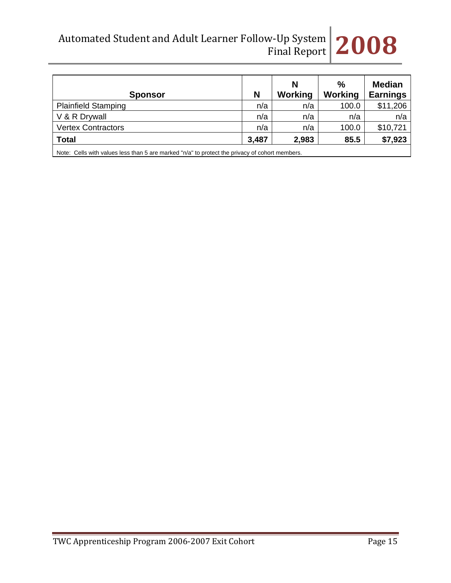Automated Student and Adult Learner Follow‐Up System Final Report **2008**

| <b>Sponsor</b>                                                                                 | N     | N<br>Working | $\%$<br>Working | <b>Median</b><br><b>Earnings</b> |
|------------------------------------------------------------------------------------------------|-------|--------------|-----------------|----------------------------------|
| <b>Plainfield Stamping</b>                                                                     | n/a   | n/a          | 100.0           | \$11,206                         |
| V & R Drywall                                                                                  | n/a   | n/a          | n/a             | n/a                              |
| <b>Vertex Contractors</b>                                                                      | n/a   | n/a          | 100.0           | \$10,721                         |
| <b>Total</b>                                                                                   | 3,487 | 2,983        | 85.5            | \$7,923                          |
| Note: Cells with values less than 5 are marked "n/a" to protect the privacy of cohort members. |       |              |                 |                                  |